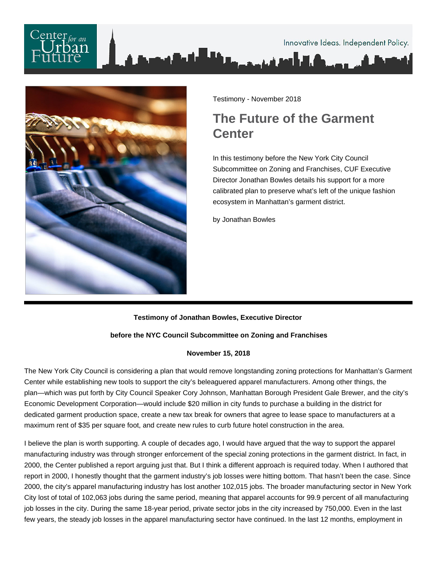



Testimony - November 2018

## **The Future of the Garment Center**

In this testimony before the New York City Council Subcommittee on Zoning and Franchises, CUF Executive Director Jonathan Bowles details his support for a more calibrated plan to preserve what's left of the unique fashion ecosystem in Manhattan's garment district.

by Jonathan Bowles

## **Testimony of Jonathan Bowles, Executive Director**

## **before the NYC Council Subcommittee on Zoning and Franchises**

## **November 15, 2018**

The New York City Council is considering a plan that would remove longstanding zoning protections for Manhattan's Garment Center while establishing new tools to support the city's beleaguered apparel manufacturers. Among other things, the plan—which was put forth by City Council Speaker Cory Johnson, Manhattan Borough President Gale Brewer, and the city's Economic Development Corporation—would include \$20 million in city funds to purchase a building in the district for dedicated garment production space, create a new tax break for owners that agree to lease space to manufacturers at a maximum rent of \$35 per square foot, and create new rules to curb future hotel construction in the area.

I believe the plan is worth supporting. A couple of decades ago, I would have argued that the way to support the apparel manufacturing industry was through stronger enforcement of the special zoning protections in the garment district. In fact, in 2000, the Center published a report arguing just that. But I think a different approach is required today. When I authored that report in 2000, I honestly thought that the garment industry's job losses were hitting bottom. That hasn't been the case. Since 2000, the city's apparel manufacturing industry has lost another 102,015 jobs. The broader manufacturing sector in New York City lost of total of 102,063 jobs during the same period, meaning that apparel accounts for 99.9 percent of all manufacturing job losses in the city. During the same 18-year period, private sector jobs in the city increased by 750,000. Even in the last few years, the steady job losses in the apparel manufacturing sector have continued. In the last 12 months, employment in